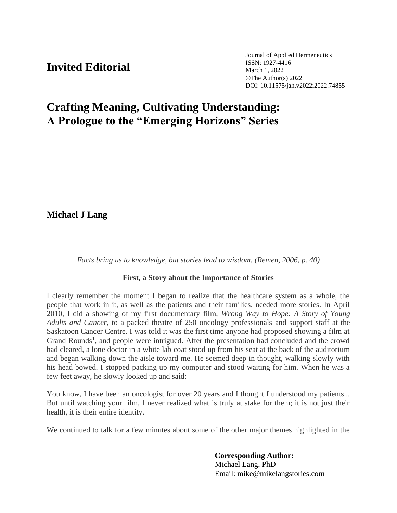## **Invited Editorial**

Journal of Applied Hermeneutics ISSN: 1927-4416 March 1, 2022 ©The Author(s) 2022 DOI: 10.11575/jah.v2022i2022.74855

# **Crafting Meaning, Cultivating Understanding: A Prologue to the "Emerging Horizons" Series**

**Michael J Lang**

*Facts bring us to knowledge, but stories lead to wisdom. (Remen, 2006, p. 40)*

#### **First, a Story about the Importance of Stories**

I clearly remember the moment I began to realize that the healthcare system as a whole, the people that work in it, as well as the patients and their families, needed more stories. In April 2010, I did a showing of my first documentary film, *Wrong Way to Hope: A Story of Young Adults and Cancer*, to a packed theatre of 250 oncology professionals and support staff at the Saskatoon Cancer Centre. I was told it was the first time anyone had proposed showing a film at Grand Rounds<sup>1</sup>, and people were intrigued. After the presentation had concluded and the crowd had cleared, a lone doctor in a white lab coat stood up from his seat at the back of the auditorium and began walking down the aisle toward me. He seemed deep in thought, walking slowly with his head bowed. I stopped packing up my computer and stood waiting for him. When he was a few feet away, he slowly looked up and said:

You know, I have been an oncologist for over 20 years and I thought I understood my patients... But until watching your film, I never realized what is truly at stake for them; it is not just their health, it is their entire identity.

We continued to talk for a few minutes about some of the other major themes highlighted in the

### **Corresponding Author:**

Michael Lang, PhD Email: mike@mikelangstories.com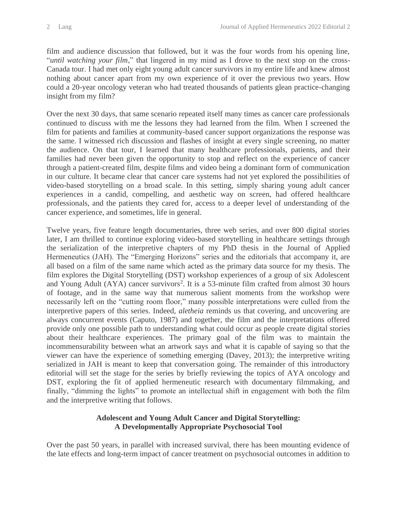film and audience discussion that followed, but it was the four words from his opening line, "*until watching your film*," that lingered in my mind as I drove to the next stop on the cross-Canada tour. I had met only eight young adult cancer survivors in my entire life and knew almost nothing about cancer apart from my own experience of it over the previous two years. How could a 20-year oncology veteran who had treated thousands of patients glean practice-changing insight from my film?

Over the next 30 days, that same scenario repeated itself many times as cancer care professionals continued to discuss with me the lessons they had learned from the film. When I screened the film for patients and families at community-based cancer support organizations the response was the same. I witnessed rich discussion and flashes of insight at every single screening, no matter the audience. On that tour, I learned that many healthcare professionals, patients, and their families had never been given the opportunity to stop and reflect on the experience of cancer through a patient-created film, despite films and video being a dominant form of communication in our culture. It became clear that cancer care systems had not yet explored the possibilities of video-based storytelling on a broad scale. In this setting, simply sharing young adult cancer experiences in a candid, compelling, and aesthetic way on screen, had offered healthcare professionals, and the patients they cared for, access to a deeper level of understanding of the cancer experience, and sometimes, life in general.

Twelve years, five feature length documentaries, three web series, and over 800 digital stories later, I am thrilled to continue exploring video-based storytelling in healthcare settings through the serialization of the interpretive chapters of my PhD thesis in the Journal of Applied Hermeneutics (JAH). The "Emerging Horizons" series and the editorials that accompany it, are all based on a film of the same name which acted as the primary data source for my thesis. The film explores the Digital Storytelling (DST) workshop experiences of a group of six Adolescent and Young Adult (AYA) cancer survivors<sup>2</sup>. It is a 53-minute film crafted from almost 30 hours of footage, and in the same way that numerous salient moments from the workshop were necessarily left on the "cutting room floor," many possible interpretations were culled from the interpretive papers of this series. Indeed, *aletheia* reminds us that covering, and uncovering are always concurrent events (Caputo, 1987) and together, the film and the interpretations offered provide only one possible path to understanding what could occur as people create digital stories about their healthcare experiences. The primary goal of the film was to maintain the incommensurability between what an artwork says and what it is capable of saying so that the viewer can have the experience of something emerging (Davey, 2013); the interpretive writing serialized in JAH is meant to keep that conversation going. The remainder of this introductory editorial will set the stage for the series by briefly reviewing the topics of AYA oncology and DST, exploring the fit of applied hermeneutic research with documentary filmmaking, and finally, "dimming the lights" to promote an intellectual shift in engagement with both the film and the interpretive writing that follows.

#### **Adolescent and Young Adult Cancer and Digital Storytelling: A Developmentally Appropriate Psychosocial Tool**

Over the past 50 years, in parallel with increased survival, there has been mounting evidence of the late effects and long-term impact of cancer treatment on psychosocial outcomes in addition to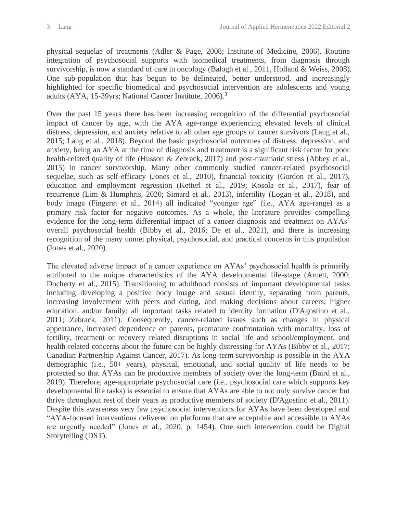physical sequelae of treatments (Adler & Page, 2008; Institute of Medicine, 2006). Routine integration of psychosocial supports with biomedical treatments, from diagnosis through survivorship, is now a standard of care in oncology (Balogh et al., 2011, Holland & Weiss, 2008). One sub-population that has begun to be delineated, better understood, and increasingly highlighted for specific biomedical and psychosocial intervention are adolescents and young adults (AYA, 15-39yrs; National Cancer Institute, 2006).<sup>3</sup>

Over the past 15 years there has been increasing recognition of the differential psychosocial impact of cancer by age, with the AYA age-range experiencing elevated levels of clinical distress, depression, and anxiety relative to all other age groups of cancer survivors (Lang et al., 2015; Lang et al., 2018). Beyond the basic psychosocial outcomes of distress, depression, and anxiety, being an AYA at the time of diagnosis and treatment is a significant risk factor for poor health-related quality of life (Husson & Zebrack, 2017) and post-traumatic stress (Abbey et al., 2015) in cancer survivorship. Many other commonly studied cancer-related psychosocial sequelae, such as self-efficacy (Jones et al., 2010), financial toxicity (Gordon et al., 2017), education and employment regression (Ketterl et al., 2019; Kosola et al., 2017), fear of recurrence (Lim & Humphris, 2020; Simard et al., 2013), infertility (Logan et al., 2018), and body image (Fingeret et al., 2014) all indicated "younger age" (i.e., AYA age-range) as a primary risk factor for negative outcomes. As a whole, the literature provides compelling evidence for the long-term differential impact of a cancer diagnosis and treatment on AYAs' overall psychosocial health (Bibby et al., 2016; De et al., 2021), and there is increasing recognition of the many unmet physical, psychosocial, and practical concerns in this population (Jones et al., 2020).

The elevated adverse impact of a cancer experience on AYAs' psychosocial health is primarily attributed to the unique characteristics of the AYA developmental life-stage (Arnett, 2000; Docherty et al., 2015). Transitioning to adulthood consists of important developmental tasks including developing a positive body image and sexual identity, separating from parents, increasing involvement with peers and dating, and making decisions about careers, higher education, and/or family; all important tasks related to identity formation (D'Agostino et al., 2011; Zebrack, 2011). Consequently, cancer-related issues such as changes in physical appearance, increased dependence on parents, premature confrontation with mortality, loss of fertility, treatment or recovery related disruptions in social life and school/employment, and health-related concerns about the future can be highly distressing for AYAs (Bibby et al., 2017; Canadian Partnership Against Cancer, 2017). As long-term survivorship is possible in the AYA demographic (i.e., 50+ years), physical, emotional, and social quality of life needs to be protected so that AYAs can be productive members of society over the long-term (Baird et al., 2019). Therefore, age-appropriate psychosocial care (i.e., psychosocial care which supports key developmental life tasks) is essential to ensure that AYAs are able to not only survive cancer but thrive throughout rest of their years as productive members of society (D'Agostino et al., 2011). Despite this awareness very few psychosocial interventions for AYAs have been developed and "AYA-focused interventions delivered on platforms that are acceptable and accessible to AYAs are urgently needed" (Jones et al., 2020, p. 1454). One such intervention could be Digital Storytelling (DST).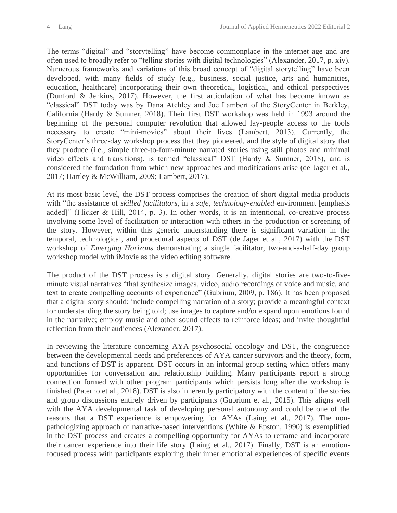The terms "digital" and "storytelling" have become commonplace in the internet age and are often used to broadly refer to "telling stories with digital technologies" (Alexander, 2017, p. xiv). Numerous frameworks and variations of this broad concept of "digital storytelling" have been developed, with many fields of study (e.g., business, social justice, arts and humanities, education, healthcare) incorporating their own theoretical, logistical, and ethical perspectives (Dunford & Jenkins, 2017). However, the first articulation of what has become known as "classical" DST today was by Dana Atchley and Joe Lambert of the StoryCenter in Berkley, California (Hardy & Sumner, 2018). Their first DST workshop was held in 1993 around the beginning of the personal computer revolution that allowed lay-people access to the tools necessary to create "mini-movies" about their lives (Lambert, 2013). Currently, the StoryCenter's three-day workshop process that they pioneered, and the style of digital story that they produce (i.e., simple three-to-four-minute narrated stories using still photos and minimal video effects and transitions), is termed "classical" DST (Hardy & Sumner, 2018), and is considered the foundation from which new approaches and modifications arise (de Jager et al., 2017; Hartley & McWilliam, 2009; Lambert, 2017).

At its most basic level, the DST process comprises the creation of short digital media products with "the assistance of *skilled facilitators*, in a *safe, technology-enabled* environment [emphasis added]" (Flicker & Hill, 2014, p. 3). In other words, it is an intentional, co-creative process involving some level of facilitation or interaction with others in the production or screening of the story. However, within this generic understanding there is significant variation in the temporal, technological, and procedural aspects of DST (de Jager et al., 2017) with the DST workshop of *Emerging Horizons* demonstrating a single facilitator, two-and-a-half-day group workshop model with iMovie as the video editing software.

The product of the DST process is a digital story. Generally, digital stories are two-to-fiveminute visual narratives "that synthesize images, video, audio recordings of voice and music, and text to create compelling accounts of experience" (Gubrium, 2009, p. 186). It has been proposed that a digital story should: include compelling narration of a story; provide a meaningful context for understanding the story being told; use images to capture and/or expand upon emotions found in the narrative; employ music and other sound effects to reinforce ideas; and invite thoughtful reflection from their audiences (Alexander, 2017).

In reviewing the literature concerning AYA psychosocial oncology and DST, the congruence between the developmental needs and preferences of AYA cancer survivors and the theory, form, and functions of DST is apparent. DST occurs in an informal group setting which offers many opportunities for conversation and relationship building. Many participants report a strong connection formed with other program participants which persists long after the workshop is finished (Paterno et al., 2018). DST is also inherently participatory with the content of the stories and group discussions entirely driven by participants (Gubrium et al., 2015). This aligns well with the AYA developmental task of developing personal autonomy and could be one of the reasons that a DST experience is empowering for AYAs (Laing et al., 2017). The nonpathologizing approach of narrative-based interventions (White & Epston, 1990) is exemplified in the DST process and creates a compelling opportunity for AYAs to reframe and incorporate their cancer experience into their life story (Laing et al., 2017). Finally, DST is an emotionfocused process with participants exploring their inner emotional experiences of specific events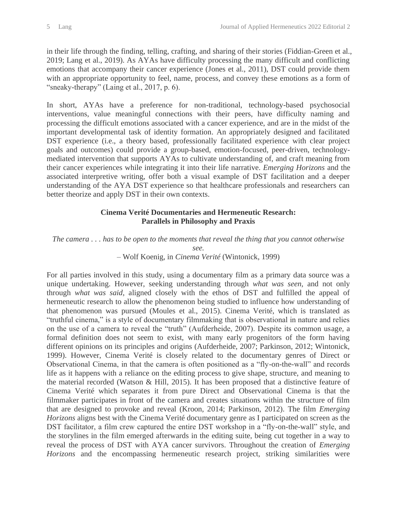in their life through the finding, telling, crafting, and sharing of their stories (Fiddian-Green et al., 2019; Lang et al., 2019). As AYAs have difficulty processing the many difficult and conflicting emotions that accompany their cancer experience (Jones et al., 2011), DST could provide them with an appropriate opportunity to feel, name, process, and convey these emotions as a form of "sneaky-therapy" (Laing et al., 2017, p. 6).

In short, AYAs have a preference for non-traditional, technology-based psychosocial interventions, value meaningful connections with their peers, have difficulty naming and processing the difficult emotions associated with a cancer experience, and are in the midst of the important developmental task of identity formation. An appropriately designed and facilitated DST experience (i.e., a theory based, professionally facilitated experience with clear project goals and outcomes) could provide a group-based, emotion-focused, peer-driven, technologymediated intervention that supports AYAs to cultivate understanding of, and craft meaning from their cancer experiences while integrating it into their life narrative. *Emerging Horizons* and the associated interpretive writing, offer both a visual example of DST facilitation and a deeper understanding of the AYA DST experience so that healthcare professionals and researchers can better theorize and apply DST in their own contexts.

#### **Cinema Verité Documentaries and Hermeneutic Research: Parallels in Philosophy and Praxis**

*The camera . . . has to be open to the moments that reveal the thing that you cannot otherwise* 

*see.* – Wolf Koenig, in *Cinema Verité* (Wintonick, 1999)

For all parties involved in this study, using a documentary film as a primary data source was a unique undertaking. However, seeking understanding through *what was seen,* and not only through *what was said*, aligned closely with the ethos of DST and fulfilled the appeal of hermeneutic research to allow the phenomenon being studied to influence how understanding of that phenomenon was pursued (Moules et al., 2015). Cinema Verité, which is translated as "truthful cinema," is a style of documentary filmmaking that is observational in nature and relies on the use of a camera to reveal the "truth" (Aufderheide, 2007). Despite its common usage, a formal definition does not seem to exist, with many early progenitors of the form having different opinions on its principles and origins (Aufderheide, 2007; Parkinson, 2012; Wintonick, 1999). However, Cinema Verité is closely related to the documentary genres of Direct or Observational Cinema, in that the camera is often positioned as a "fly-on-the-wall" and records life as it happens with a reliance on the editing process to give shape, structure, and meaning to the material recorded (Watson & Hill, 2015). It has been proposed that a distinctive feature of Cinema Verité which separates it from pure Direct and Observational Cinema is that the filmmaker participates in front of the camera and creates situations within the structure of film that are designed to provoke and reveal (Kroon, 2014; Parkinson, 2012). The film *Emerging Horizons* aligns best with the Cinema Verité documentary genre as I participated on screen as the DST facilitator, a film crew captured the entire DST workshop in a "fly-on-the-wall" style, and the storylines in the film emerged afterwards in the editing suite, being cut together in a way to reveal the process of DST with AYA cancer survivors. Throughout the creation of *Emerging Horizons* and the encompassing hermeneutic research project, striking similarities were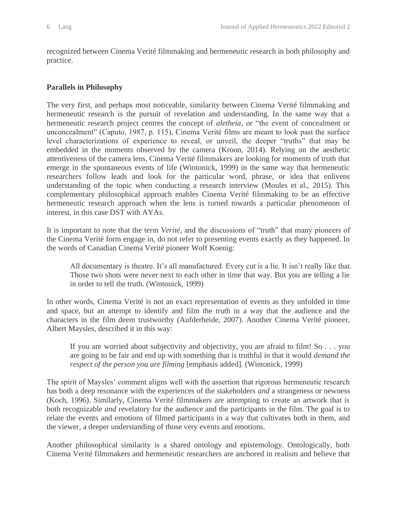recognized between Cinema Verité filmmaking and hermeneutic research in both philosophy and practice.

#### **Parallels in Philosophy**

The very first, and perhaps most noticeable, similarity between Cinema Verité filmmaking and hermeneutic research is the pursuit of revelation and understanding. In the same way that a hermeneutic research project centres the concept of *aletheia*, or "the event of concealment or unconcealment" (Caputo, 1987, p. 115), Cinema Verité films are meant to look past the surface level characterizations of experience to reveal, or unveil, the deeper "truths" that may be embedded in the moments observed by the camera (Kroon, 2014). Relying on the aesthetic attentiveness of the camera lens, Cinema Verité filmmakers are looking for moments of truth that emerge in the spontaneous events of life (Wintonick, 1999) in the same way that hermeneutic researchers follow leads and look for the particular word, phrase, or idea that enlivens understanding of the topic when conducting a research interview (Moules et al., 2015). This complementary philosophical approach enables Cinema Verité filmmaking to be an effective hermeneutic research approach when the lens is turned towards a particular phenomenon of interest, in this case DST with AYAs.

It is important to note that the term *Verité*, and the discussions of "truth" that many pioneers of the Cinema Verité form engage in, do not refer to presenting events exactly as they happened. In the words of Canadian Cinema Verité pioneer Wolf Koenig:

All documentary is theatre. It's all manufactured. Every cut is a lie. It isn't really like that. Those two shots were never next to each other in time that way. But you are telling a lie in order to tell the truth. (Wintonick, 1999)

In other words, Cinema Verité is not an exact representation of events as they unfolded in time and space, but an attempt to identify and film the truth in a way that the audience and the characters in the film deem trustworthy (Aufderheide, 2007). Another Cinema Verité pioneer, Albert Maysles, described it in this way:

If you are worried about subjectivity and objectivity, you are afraid to film! So . . . you are going to be fair and end up with something that is truthful in that it would *demand the respect of the person you are filming* [emphasis added]. (Wintonick, 1999)

The spirit of Maysles' comment aligns well with the assertion that rigorous hermeneutic research has both a deep resonance with the experiences of the stakeholders *and* a strangeness or newness (Koch, 1996). Similarly, Cinema Verité filmmakers are attempting to create an artwork that is both recognizable *and* revelatory for the audience and the participants in the film. The goal is to relate the events and emotions of filmed participants in a way that cultivates both in them, and the viewer, a deeper understanding of those very events and emotions.

Another philosophical similarity is a shared ontology and epistemology. Ontologically, both Cinema Verité filmmakers and hermeneutic researchers are anchored in realism and believe that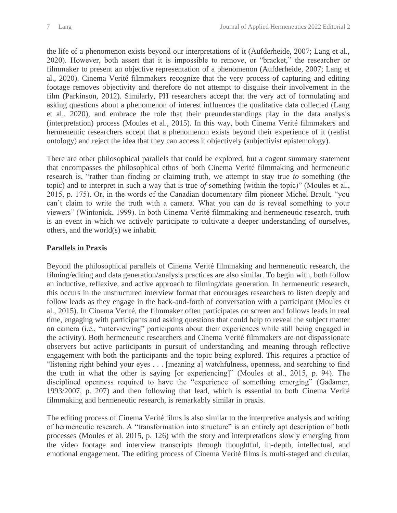the life of a phenomenon exists beyond our interpretations of it (Aufderheide, 2007; Lang et al., 2020). However, both assert that it is impossible to remove, or "bracket," the researcher or filmmaker to present an objective representation of a phenomenon (Aufderheide, 2007; Lang et al., 2020). Cinema Verité filmmakers recognize that the very process of capturing and editing footage removes objectivity and therefore do not attempt to disguise their involvement in the film (Parkinson, 2012). Similarly, PH researchers accept that the very act of formulating and asking questions about a phenomenon of interest influences the qualitative data collected (Lang et al., 2020), and embrace the role that their preunderstandings play in the data analysis (interpretation) process (Moules et al., 2015). In this way, both Cinema Verité filmmakers and hermeneutic researchers accept that a phenomenon exists beyond their experience of it (realist ontology) and reject the idea that they can access it objectively (subjectivist epistemology).

There are other philosophical parallels that could be explored, but a cogent summary statement that encompasses the philosophical ethos of both Cinema Verité filmmaking and hermeneutic research is, "rather than finding or claiming truth, we attempt to stay true *to* something (the topic) and to interpret in such a way that is true *of* something (within the topic)" (Moules et al., 2015, p. 175). Or, in the words of the Canadian documentary film pioneer Michel Brault, "you can't claim to write the truth with a camera. What you can do is reveal something to your viewers" (Wintonick, 1999). In both Cinema Verité filmmaking and hermeneutic research, truth is an event in which we actively participate to cultivate a deeper understanding of ourselves, others, and the world(s) we inhabit.

#### **Parallels in Praxis**

Beyond the philosophical parallels of Cinema Verité filmmaking and hermeneutic research, the filming/editing and data generation/analysis practices are also similar. To begin with, both follow an inductive, reflexive, and active approach to filming/data generation. In hermeneutic research, this occurs in the unstructured interview format that encourages researchers to listen deeply and follow leads as they engage in the back-and-forth of conversation with a participant (Moules et al., 2015). In Cinema Verité, the filmmaker often participates on screen and follows leads in real time, engaging with participants and asking questions that could help to reveal the subject matter on camera (i.e., "interviewing" participants about their experiences while still being engaged in the activity). Both hermeneutic researchers and Cinema Verité filmmakers are not dispassionate observers but active participants in pursuit of understanding and meaning through reflective engagement with both the participants and the topic being explored. This requires a practice of "listening right behind your eyes . . . [meaning a] watchfulness, openness, and searching to find the truth in what the other is saying [or experiencing]" (Moules et al., 2015, p. 94). The disciplined openness required to have the "experience of something emerging" (Gadamer, 1993/2007, p. 207) and then following that lead, which is essential to both Cinema Verité filmmaking and hermeneutic research, is remarkably similar in praxis.

The editing process of Cinema Verité films is also similar to the interpretive analysis and writing of hermeneutic research. A "transformation into structure" is an entirely apt description of both processes (Moules et al. 2015, p. 126) with the story and interpretations slowly emerging from the video footage and interview transcripts through thoughtful, in-depth, intellectual, and emotional engagement. The editing process of Cinema Verité films is multi-staged and circular,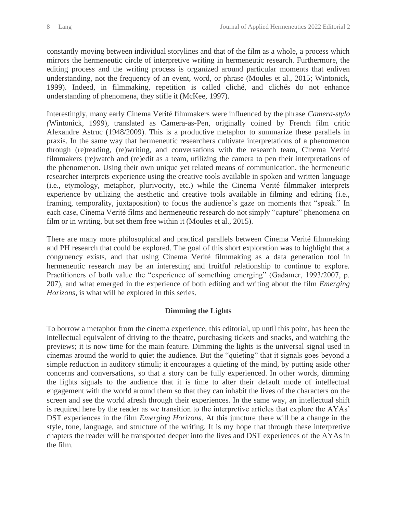constantly moving between individual storylines and that of the film as a whole, a process which mirrors the hermeneutic circle of interpretive writing in hermeneutic research. Furthermore, the editing process and the writing process is organized around particular moments that enliven understanding, not the frequency of an event, word, or phrase (Moules et al., 2015; Wintonick, 1999). Indeed, in filmmaking, repetition is called cliché, and clichés do not enhance understanding of phenomena, they stifle it (McKee, 1997).

Interestingly, many early Cinema Verité filmmakers were influenced by the phrase *Camera-stylo (*Wintonick, 1999)*,* translated as Camera-as-Pen, originally coined by French film critic Alexandre Astruc (1948/2009). This is a productive metaphor to summarize these parallels in praxis. In the same way that hermeneutic researchers cultivate interpretations of a phenomenon through (re)reading, (re)writing, and conversations with the research team, Cinema Verité filmmakers (re)watch and (re)edit as a team, utilizing the camera to pen their interpretations of the phenomenon. Using their own unique yet related means of communication, the hermeneutic researcher interprets experience using the creative tools available in spoken and written language (i.e., etymology, metaphor, plurivocity, etc.) while the Cinema Verité filmmaker interprets experience by utilizing the aesthetic and creative tools available in filming and editing (i.e., framing, temporality, juxtaposition) to focus the audience's gaze on moments that "speak." In each case, Cinema Verité films and hermeneutic research do not simply "capture" phenomena on film or in writing, but set them free within it (Moules et al., 2015).

There are many more philosophical and practical parallels between Cinema Verité filmmaking and PH research that could be explored. The goal of this short exploration was to highlight that a congruency exists, and that using Cinema Verité filmmaking as a data generation tool in hermeneutic research may be an interesting and fruitful relationship to continue to explore. Practitioners of both value the "experience of something emerging" (Gadamer, 1993/2007, p. 207), and what emerged in the experience of both editing and writing about the film *Emerging Horizons*, is what will be explored in this series.

#### **Dimming the Lights**

To borrow a metaphor from the cinema experience, this editorial, up until this point, has been the intellectual equivalent of driving to the theatre, purchasing tickets and snacks, and watching the previews; it is now time for the main feature. Dimming the lights is the universal signal used in cinemas around the world to quiet the audience. But the "quieting" that it signals goes beyond a simple reduction in auditory stimuli; it encourages a quieting of the mind, by putting aside other concerns and conversations, so that a story can be fully experienced. In other words, dimming the lights signals to the audience that it is time to alter their default mode of intellectual engagement with the world around them so that they can inhabit the lives of the characters on the screen and see the world afresh through their experiences. In the same way, an intellectual shift is required here by the reader as we transition to the interpretive articles that explore the AYAs' DST experiences in the film *Emerging Horizons*. At this juncture there will be a change in the style, tone, language, and structure of the writing. It is my hope that through these interpretive chapters the reader will be transported deeper into the lives and DST experiences of the AYAs in the film.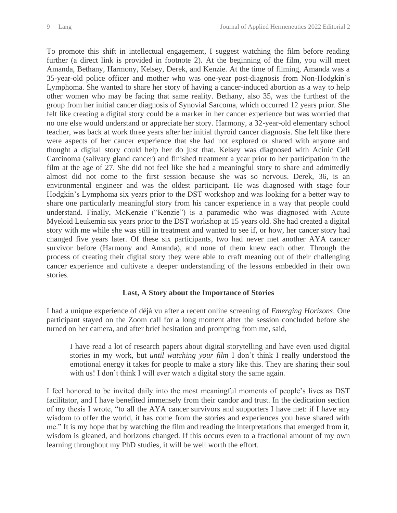To promote this shift in intellectual engagement, I suggest watching the film before reading further (a direct link is provided in footnote 2). At the beginning of the film, you will meet Amanda, Bethany, Harmony, Kelsey, Derek, and Kenzie. At the time of filming, Amanda was a 35-year-old police officer and mother who was one-year post-diagnosis from Non-Hodgkin's Lymphoma. She wanted to share her story of having a cancer-induced abortion as a way to help other women who may be facing that same reality. Bethany, also 35, was the furthest of the group from her initial cancer diagnosis of Synovial Sarcoma, which occurred 12 years prior. She felt like creating a digital story could be a marker in her cancer experience but was worried that no one else would understand or appreciate her story. Harmony, a 32-year-old elementary school teacher, was back at work three years after her initial thyroid cancer diagnosis. She felt like there were aspects of her cancer experience that she had not explored or shared with anyone and thought a digital story could help her do just that. Kelsey was diagnosed with Acinic Cell Carcinoma (salivary gland cancer) and finished treatment a year prior to her participation in the film at the age of 27. She did not feel like she had a meaningful story to share and admittedly almost did not come to the first session because she was so nervous. Derek, 36, is an environmental engineer and was the oldest participant. He was diagnosed with stage four Hodgkin's Lymphoma six years prior to the DST workshop and was looking for a better way to share one particularly meaningful story from his cancer experience in a way that people could understand. Finally, McKenzie ("Kenzie") is a paramedic who was diagnosed with Acute Myeloid Leukemia six years prior to the DST workshop at 15 years old. She had created a digital story with me while she was still in treatment and wanted to see if, or how, her cancer story had changed five years later. Of these six participants, two had never met another AYA cancer survivor before (Harmony and Amanda), and none of them knew each other. Through the process of creating their digital story they were able to craft meaning out of their challenging cancer experience and cultivate a deeper understanding of the lessons embedded in their own stories.

#### **Last, A Story about the Importance of Stories**

I had a unique experience of déjà vu after a recent online screening of *Emerging Horizons*. One participant stayed on the Zoom call for a long moment after the session concluded before she turned on her camera, and after brief hesitation and prompting from me, said,

I have read a lot of research papers about digital storytelling and have even used digital stories in my work, but *until watching your film* I don't think I really understood the emotional energy it takes for people to make a story like this. They are sharing their soul with us! I don't think I will ever watch a digital story the same again.

I feel honored to be invited daily into the most meaningful moments of people's lives as DST facilitator, and I have benefited immensely from their candor and trust. In the dedication section of my thesis I wrote, "to all the AYA cancer survivors and supporters I have met: if I have any wisdom to offer the world, it has come from the stories and experiences you have shared with me." It is my hope that by watching the film and reading the interpretations that emerged from it, wisdom is gleaned, and horizons changed. If this occurs even to a fractional amount of my own learning throughout my PhD studies, it will be well worth the effort.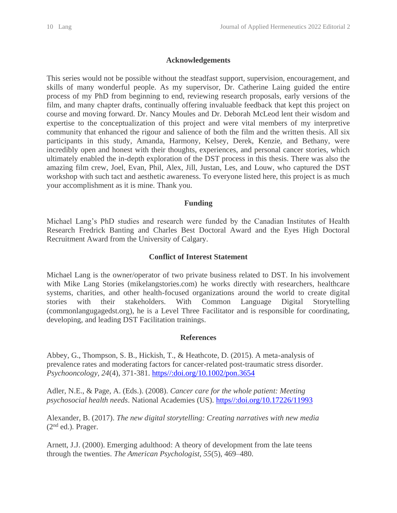#### **Acknowledgements**

This series would not be possible without the steadfast support, supervision, encouragement, and skills of many wonderful people. As my supervisor, Dr. Catherine Laing guided the entire process of my PhD from beginning to end, reviewing research proposals, early versions of the film*,* and many chapter drafts, continually offering invaluable feedback that kept this project on course and moving forward. Dr. Nancy Moules and Dr. Deborah McLeod lent their wisdom and expertise to the conceptualization of this project and were vital members of my interpretive community that enhanced the rigour and salience of both the film and the written thesis. All six participants in this study, Amanda, Harmony, Kelsey, Derek, Kenzie, and Bethany, were incredibly open and honest with their thoughts, experiences, and personal cancer stories, which ultimately enabled the in-depth exploration of the DST process in this thesis. There was also the amazing film crew, Joel, Evan, Phil, Alex, Jill, Justan, Les, and Louw, who captured the DST workshop with such tact and aesthetic awareness. To everyone listed here, this project is as much your accomplishment as it is mine. Thank you.

#### **Funding**

Michael Lang's PhD studies and research were funded by the Canadian Institutes of Health Research Fredrick Banting and Charles Best Doctoral Award and the Eyes High Doctoral Recruitment Award from the University of Calgary.

#### **Conflict of Interest Statement**

Michael Lang is the owner/operator of two private business related to DST. In his involvement with Mike Lang Stories (mikelangstories.com) he works directly with researchers, healthcare systems, charities, and other health-focused organizations around the world to create digital stories with their stakeholders. With Common Language Digital Storytelling (commonlangugagedst.org), he is a Level Three Facilitator and is responsible for coordinating, developing, and leading DST Facilitation trainings.

#### **References**

Abbey, G., Thompson, S. B., Hickish, T., & Heathcote, D. (2015). A meta-analysis of prevalence rates and moderating factors for cancer-related post-traumatic stress disorder. *Psychooncology, 24*(4), 371-381. [https//:doi.org/10.1002/pon.3654](/Users/mlang/Google%20Drive/2%20-%20School/PhD./Thesis/FINAL%20CHAPTERS/Completed%20Finals/FINAL/https/:doi.org/10.1002/pon.3654)

Adler, N.E., & Page, A. (Eds.). (2008). *Cancer care for the whole patient: Meeting psychosocial health needs*. National Academies (US). [https//:doi.org/10.17226/11993](/Users/mlang/Google%20Drive/2%20-%20School/PhD./Thesis/FINAL%20CHAPTERS/Completed%20Finals/FINAL/https/:doi.org/10.17226/11993)

Alexander, B. (2017). *The new digital storytelling: Creating narratives with new media*  (2nd ed.)*.* Prager.

Arnett, J.J. (2000). Emerging adulthood: A theory of development from the late teens through the twenties. *The American Psychologist, 55*(5), 469–480.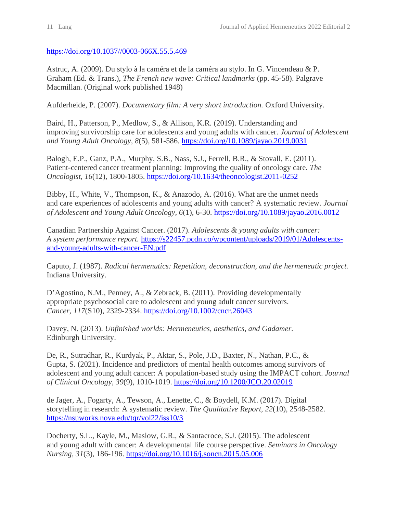[https://doi.org/10.1037//0003-066X.55.5.469](https://doi.org/10.1037/0003-066X.55.5.469)

Astruc, A. (2009). Du stylo à la caméra et de la caméra au stylo. In G. Vincendeau & P. Graham (Ed. & Trans.), *The French new wave: Critical landmarks* (pp. 45-58). Palgrave Macmillan. (Original work published 1948)

Aufderheide, P. (2007). *Documentary film: A very short introduction.* Oxford University.

Baird, H., Patterson, P., Medlow, S., & Allison, K.R. (2019). Understanding and improving survivorship care for adolescents and young adults with cancer. *Journal of Adolescent and Young Adult Oncology, 8*(5), 581-586.<https://doi.org/10.1089/jayao.2019.0031>

Balogh, E.P., Ganz, P.A., Murphy, S.B., Nass, S.J., Ferrell, B.R., & Stovall, E. (2011). Patient-centered cancer treatment planning: Improving the quality of oncology care. *The Oncologist, 16*(12), 1800-1805.<https://doi.org/10.1634/theoncologist.2011-0252>

Bibby, H., White, V., Thompson, K., & Anazodo, A. (2016). What are the unmet needs and care experiences of adolescents and young adults with cancer? A systematic review. *Journal of Adolescent and Young Adult Oncology, 6*(1), 6-30.<https://doi.org/10.1089/jayao.2016.0012>

Canadian Partnership Against Cancer. (2017). *Adolescents & young adults with cancer: A system performance report.* [https://s22457.pcdn.co/wpcontent/uploads/2019/01/Adolescents](https://s22457.pcdn.co/wpcontent/uploads/2019/01/Adolescents-and-young-adults-with-cancer-EN.pdf)[and-young-adults-with-cancer-EN.pdf](https://s22457.pcdn.co/wpcontent/uploads/2019/01/Adolescents-and-young-adults-with-cancer-EN.pdf)

Caputo, J. (1987). *Radical hermenutics: Repetition, deconstruction, and the hermeneutic project.* Indiana University.

D'Agostino, N.M., Penney, A., & Zebrack, B. (2011). Providing developmentally appropriate psychosocial care to adolescent and young adult cancer survivors. *Cancer, 117*(S10), 2329-2334.<https://doi.org/10.1002/cncr.26043>

Davey, N. (2013). *Unfinished worlds: Hermeneutics, aesthetics, and Gadamer.* Edinburgh University.

De, R., Sutradhar, R., Kurdyak, P., Aktar, S., Pole, J.D., Baxter, N., Nathan, P.C., & Gupta, S. (2021). Incidence and predictors of mental health outcomes among survivors of adolescent and young adult cancer: A population-based study using the IMPACT cohort. *Journal of Clinical Oncology*, *39*(9), 1010-1019.<https://doi.org/10.1200/JCO.20.02019>

de Jager, A., Fogarty, A., Tewson, A., Lenette, C., & Boydell, K.M. (2017). Digital storytelling in research: A systematic review. *The Qualitative Report, 22*(10), 2548-2582. <https://nsuworks.nova.edu/tqr/vol22/iss10/3>

Docherty, S.L., Kayle, M., Maslow, G.R., & Santacroce, S.J. (2015). The adolescent and young adult with cancer: A developmental life course perspective. *Seminars in Oncology Nursing, 31*(3), 186-196.<https://doi.org/10.1016/j.soncn.2015.05.006>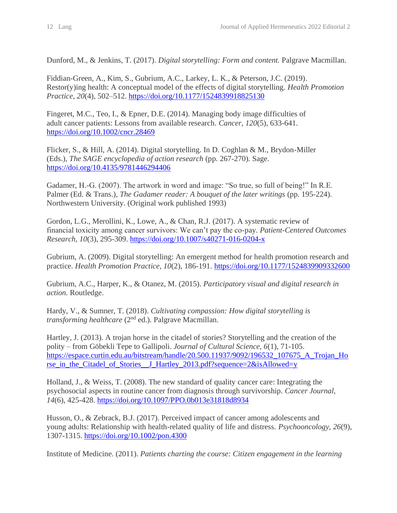Dunford, M., & Jenkins, T. (2017). *Digital storytelling: Form and content.* Palgrave Macmillan.

Fiddian-Green, A., Kim, S., Gubrium, A.C., Larkey, L. K., & Peterson, J.C. (2019). Restor(y)ing health: A conceptual model of the effects of digital storytelling. *Health Promotion Practice, 20*(4), 502–512.<https://doi.org/10.1177/1524839918825130>

Fingeret, M.C., Teo, I., & Epner, D.E. (2014). Managing body image difficulties of adult cancer patients: Lessons from available research. *Cancer, 120*(5), 633-641. <https://doi.org/10.1002/cncr.28469>

Flicker, S., & Hill, A. (2014). Digital storytelling. In D. Coghlan & M., Brydon-Miller (Eds.), *The SAGE encyclopedia of action research* (pp. 267-270)*.* Sage. <https://doi.org/10.4135/9781446294406>

Gadamer, H.-G. (2007). The artwork in word and image: "So true, so full of being!" In R.E. Palmer (Ed. & Trans.), *The Gadamer reader: A bouquet of the later writings* (pp. 195-224). Northwestern University. (Original work published 1993)

Gordon, L.G., Merollini, K., Lowe, A., & Chan, R.J. (2017). A systematic review of financial toxicity among cancer survivors: We can't pay the co-pay. *Patient-Centered Outcomes Research, 10*(3), 295-309.<https://doi.org/10.1007/s40271-016-0204-x>

Gubrium, A. (2009). Digital storytelling: An emergent method for health promotion research and practice. *Health Promotion Practice, 10*(2), 186-191.<https://doi.org/10.1177/1524839909332600>

Gubrium, A.C., Harper, K., & Otanez, M. (2015). *Participatory visual and digital research in action.* Routledge.

Hardy, V., & Sumner, T. (2018). *Cultivating compassion: How digital storytelling is transforming healthcare* (2<sup>nd</sup> ed.). Palgrave Macmillan.

Hartley, J. (2013). A trojan horse in the citadel of stories? Storytelling and the creation of the polity – from Göbekli Tepe to Gallipoli. *Journal of Cultural Science, 6*(1), 71-105. [https://espace.curtin.edu.au/bitstream/handle/20.500.11937/9092/196532\\_107675\\_A\\_Trojan\\_Ho](https://espace.curtin.edu.au/bitstream/handle/20.500.11937/9092/196532_107675_A_Trojan_Horse_in_the_Citadel_of_Stories__J_Hartley_2013.pdf?sequence=2&isAllowed=y) rse in the Citadel of Stories J Hartley 2013.pdf?sequence=2&isAllowed=y

Holland, J., & Weiss, T. (2008). The new standard of quality cancer care: Integrating the psychosocial aspects in routine cancer from diagnosis through survivorship. *Cancer Journal, 14*(6), 425-428.<https://doi.org/10.1097/PPO.0b013e31818d8934>

Husson, O., & Zebrack, B.J. (2017). Perceived impact of cancer among adolescents and young adults: Relationship with health-related quality of life and distress. *Psychooncology, 26*(9), 1307-1315.<https://doi.org/10.1002/pon.4300>

Institute of Medicine. (2011). *Patients charting the course: Citizen engagement in the learning*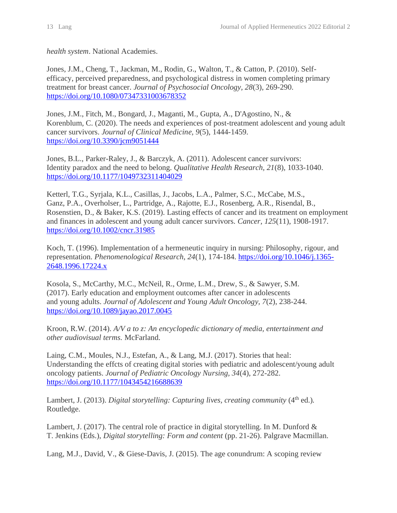*health system*. National Academies.

Jones, J.M., Cheng, T., Jackman, M., Rodin, G., Walton, T., & Catton, P. (2010). Selfefficacy, perceived preparedness, and psychological distress in women completing primary treatment for breast cancer. *Journal of Psychosocial Oncology, 28*(3), 269-290. <https://doi.org/10.1080/07347331003678352>

Jones, J.M., Fitch, M., Bongard, J., Maganti, M., Gupta, A., D'Agostino, N., & Korenblum, C. (2020). The needs and experiences of post-treatment adolescent and young adult cancer survivors. *Journal of Clinical Medicine, 9*(5), 1444-1459. <https://doi.org/10.3390/jcm9051444>

Jones, B.L., Parker-Raley, J., & Barczyk, A. (2011). Adolescent cancer survivors: Identity paradox and the need to belong. *Qualitative Health Research, 21*(8), 1033-1040. <https://doi.org/10.1177/1049732311404029>

Ketterl, T.G., Syrjala, K.L., Casillas, J., Jacobs, L.A., Palmer, S.C., McCabe, M.S., Ganz, P.A., Overholser, L., Partridge, A., Rajotte, E.J., Rosenberg, A.R., Risendal, B., Rosenstien, D., & Baker, K.S. (2019). Lasting effects of cancer and its treatment on employment and finances in adolescent and young adult cancer survivors. *Cancer, 125*(11), 1908-1917. <https://doi.org/10.1002/cncr.31985>

Koch, T. (1996). Implementation of a hermeneutic inquiry in nursing: Philosophy, rigour, and representation. *Phenomenological Research, 24*(1), 174-184. [https://doi.org/10.1046/j.1365-](https://doi.org/10.1046/j.1365-2648.1996.17224.x) [2648.1996.17224.x](https://doi.org/10.1046/j.1365-2648.1996.17224.x)

Kosola, S., McCarthy, M.C., McNeil, R., Orme, L.M., Drew, S., & Sawyer, S.M. (2017). Early education and employment outcomes after cancer in adolescents and young adults. *Journal of Adolescent and Young Adult Oncology, 7*(2), 238-244. <https://doi.org/10.1089/jayao.2017.0045>

Kroon, R.W. (2014). *A/V a to z: An encyclopedic dictionary of media, entertainment and other audiovisual terms.* McFarland.

Laing, C.M., Moules, N.J., Estefan, A., & Lang, M.J. (2017). Stories that heal: Understanding the effcts of creating digital stories with pediatric and adolescent/young adult oncology patients. *Journal of Pediatric Oncology Nursing, 34*(4), 272-282. <https://doi.org/10.1177/1043454216688639>

Lambert, J. (2013). *Digital storytelling: Capturing lives, creating community* (4<sup>th</sup> ed.). Routledge.

Lambert, J. (2017). The central role of practice in digital storytelling. In M. Dunford & T. Jenkins (Eds.), *Digital storytelling: Form and content* (pp. 21-26). Palgrave Macmillan.

Lang, M.J., David, V., & Giese-Davis, J. (2015). The age conundrum: A scoping review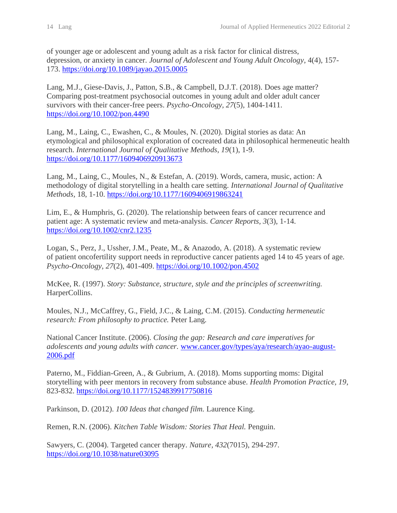of younger age or adolescent and young adult as a risk factor for clinical distress, depression, or anxiety in cancer. *Journal of Adolescent and Young Adult Oncology*, 4(4), 157- 173.<https://doi.org/10.1089/jayao.2015.0005>

Lang, M.J., Giese-Davis, J., Patton, S.B., & Campbell, D.J.T. (2018). Does age matter? Comparing post-treatment psychosocial outcomes in young adult and older adult cancer survivors with their cancer-free peers. *Psycho-Oncology, 27*(5), 1404-1411. <https://doi.org/10.1002/pon.4490>

Lang, M., Laing, C., Ewashen, C., & Moules, N. (2020). Digital stories as data: An etymological and philosophical exploration of cocreated data in philosophical hermeneutic health research. *International Journal of Qualitative Methods, 19*(1), 1-9. <https://doi.org/10.1177/1609406920913673>

Lang, M., Laing, C., Moules, N., & Estefan, A. (2019). Words, camera, music, action: A methodology of digital storytelling in a health care setting. *International Journal of Qualitative Methods,* 18, 1-10.<https://doi.org/10.1177/1609406919863241>

Lim, E., & Humphris, G. (2020). The relationship between fears of cancer recurrence and patient age: A systematic review and meta-analysis. *Cancer Reports, 3*(3), 1-14. <https://doi.org/10.1002/cnr2.1235>

Logan, S., Perz, J., Ussher, J.M., Peate, M., & Anazodo, A. (2018). A systematic review of patient oncofertility support needs in reproductive cancer patients aged 14 to 45 years of age. *Psycho-Oncology, 27*(2), 401-409.<https://doi.org/10.1002/pon.4502>

McKee, R. (1997). *Story: Substance, structure, style and the principles of screenwriting.* HarperCollins.

Moules, N.J., McCaffrey, G., Field, J.C., & Laing, C.M. (2015). *Conducting hermeneutic research: From philosophy to practice.* Peter Lang*.* 

National Cancer Institute. (2006). *Closing the gap: Research and care imperatives for adolescents and young adults with cancer.* [www.cancer.gov/types/aya/research/ayao-august-](http://www.cancer.gov/types/aya/research/ayao-august-2006.pdf)[2006.pdf](http://www.cancer.gov/types/aya/research/ayao-august-2006.pdf)

Paterno, M., Fiddian-Green, A., & Gubrium, A. (2018). Moms supporting moms: Digital storytelling with peer mentors in recovery from substance abuse. *Health Promotion Practice, 19*, 823-832.<https://doi.org/10.1177/1524839917750816>

Parkinson, D. (2012). *100 Ideas that changed film.* Laurence King.

Remen, R.N. (2006). *Kitchen Table Wisdom: Stories That Heal.* Penguin.

Sawyers, C. (2004). Targeted cancer therapy. *Nature, 432*(7015), 294-297. <https://doi.org/10.1038/nature03095>